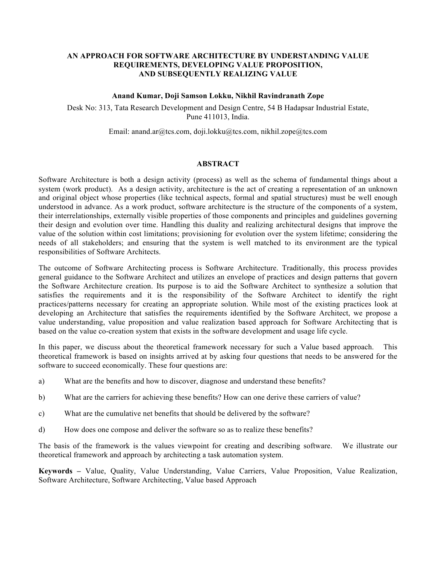#### **AN APPROACH FOR SOFTWARE ARCHITECTURE BY UNDERSTANDING VALUE REQUIREMENTS, DEVELOPING VALUE PROPOSITION, AND SUBSEQUENTLY REALIZING VALUE**

#### **Anand Kumar, Doji Samson Lokku, Nikhil Ravindranath Zope**

Desk No: 313, Tata Research Development and Design Centre, 54 B Hadapsar Industrial Estate, Pune 411013, India.

Email: anand.ar@tcs.com, doji.lokku@tcs.com, nikhil.zope@tcs.com

#### **ABSTRACT**

Software Architecture is both a design activity (process) as well as the schema of fundamental things about a system (work product). As a design activity, architecture is the act of creating a representation of an unknown and original object whose properties (like technical aspects, formal and spatial structures) must be well enough understood in advance. As a work product, software architecture is the structure of the components of a system, their interrelationships, externally visible properties of those components and principles and guidelines governing their design and evolution over time. Handling this duality and realizing architectural designs that improve the value of the solution within cost limitations; provisioning for evolution over the system lifetime; considering the needs of all stakeholders; and ensuring that the system is well matched to its environment are the typical responsibilities of Software Architects.

The outcome of Software Architecting process is Software Architecture. Traditionally, this process provides general guidance to the Software Architect and utilizes an envelope of practices and design patterns that govern the Software Architecture creation. Its purpose is to aid the Software Architect to synthesize a solution that satisfies the requirements and it is the responsibility of the Software Architect to identify the right practices/patterns necessary for creating an appropriate solution. While most of the existing practices look at developing an Architecture that satisfies the requirements identified by the Software Architect, we propose a value understanding, value proposition and value realization based approach for Software Architecting that is based on the value co-creation system that exists in the software development and usage life cycle.

In this paper, we discuss about the theoretical framework necessary for such a Value based approach. This theoretical framework is based on insights arrived at by asking four questions that needs to be answered for the software to succeed economically. These four questions are:

- a) What are the benefits and how to discover, diagnose and understand these benefits?
- b) What are the carriers for achieving these benefits? How can one derive these carriers of value?
- c) What are the cumulative net benefits that should be delivered by the software?
- d) How does one compose and deliver the software so as to realize these benefits?

The basis of the framework is the values viewpoint for creating and describing software. We illustrate our theoretical framework and approach by architecting a task automation system.

**Keywords –** Value, Quality, Value Understanding, Value Carriers, Value Proposition, Value Realization, Software Architecture, Software Architecting, Value based Approach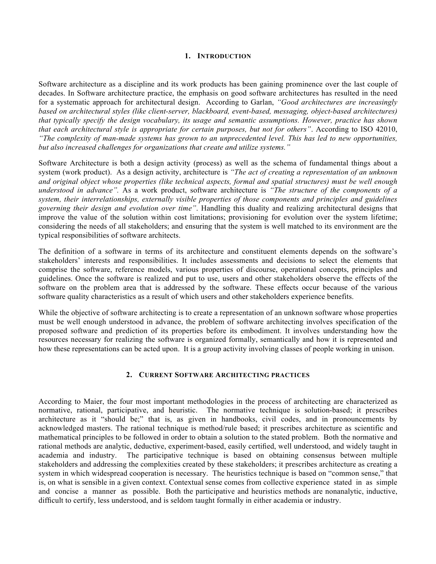#### **1. INTRODUCTION**

Software architecture as a discipline and its work products has been gaining prominence over the last couple of decades. In Software architecture practice, the emphasis on good software architectures has resulted in the need for a systematic approach for architectural design. According to Garlan, *"Good architectures are increasingly based on architectural styles (like client-server, blackboard, event-based, messaging, object-based architectures) that typically specify the design vocabulary, its usage and semantic assumptions. However, practice has shown that each architectural style is appropriate for certain purposes, but not for others"*. According to ISO 42010, *"The complexity of man-made systems has grown to an unprecedented level. This has led to new opportunities, but also increased challenges for organizations that create and utilize systems."* 

Software Architecture is both a design activity (process) as well as the schema of fundamental things about a system (work product). As a design activity, architecture is *"The act of creating a representation of an unknown and original object whose properties (like technical aspects, formal and spatial structures) must be well enough understood in advance".* As a work product, software architecture is *"The structure of the components of a system, their interrelationships, externally visible properties of those components and principles and guidelines governing their design and evolution over time"*. Handling this duality and realizing architectural designs that improve the value of the solution within cost limitations; provisioning for evolution over the system lifetime; considering the needs of all stakeholders; and ensuring that the system is well matched to its environment are the typical responsibilities of software architects.

The definition of a software in terms of its architecture and constituent elements depends on the software's stakeholders' interests and responsibilities. It includes assessments and decisions to select the elements that comprise the software, reference models, various properties of discourse, operational concepts, principles and guidelines. Once the software is realized and put to use, users and other stakeholders observe the effects of the software on the problem area that is addressed by the software. These effects occur because of the various software quality characteristics as a result of which users and other stakeholders experience benefits.

While the objective of software architecting is to create a representation of an unknown software whose properties must be well enough understood in advance, the problem of software architecting involves specification of the proposed software and prediction of its properties before its embodiment. It involves understanding how the resources necessary for realizing the software is organized formally, semantically and how it is represented and how these representations can be acted upon. It is a group activity involving classes of people working in unison.

#### **2. CURRENT SOFTWARE ARCHITECTING PRACTICES**

According to Maier, the four most important methodologies in the process of architecting are characterized as normative, rational, participative, and heuristic. The normative technique is solution-based; it prescribes architecture as it "should be;" that is, as given in handbooks, civil codes, and in pronouncements by acknowledged masters. The rational technique is method/rule based; it prescribes architecture as scientific and mathematical principles to be followed in order to obtain a solution to the stated problem. Both the normative and rational methods are analytic, deductive, experiment-based, easily certified, well understood, and widely taught in academia and industry. The participative technique is based on obtaining consensus between multiple stakeholders and addressing the complexities created by these stakeholders; it prescribes architecture as creating a system in which widespread cooperation is necessary. The heuristics technique is based on "common sense," that is, on what is sensible in a given context. Contextual sense comes from collective experience stated in as simple and concise a manner as possible. Both the participative and heuristics methods are nonanalytic, inductive, difficult to certify, less understood, and is seldom taught formally in either academia or industry.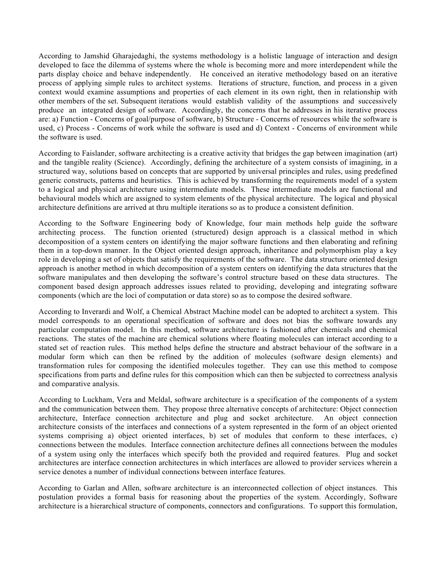According to Jamshid Gharajedaghi, the systems methodology is a holistic language of interaction and design developed to face the dilemma of systems where the whole is becoming more and more interdependent while the parts display choice and behave independently. He conceived an iterative methodology based on an iterative process of applying simple rules to architect systems. Iterations of structure, function, and process in a given context would examine assumptions and properties of each element in its own right, then in relationship with other members of the set. Subsequent iterations would establish validity of the assumptions and successively produce an integrated design of software. Accordingly, the concerns that he addresses in his iterative process are: a) Function - Concerns of goal/purpose of software, b) Structure - Concerns of resources while the software is used, c) Process - Concerns of work while the software is used and d) Context - Concerns of environment while the software is used.

According to Faislander, software architecting is a creative activity that bridges the gap between imagination (art) and the tangible reality (Science). Accordingly, defining the architecture of a system consists of imagining, in a structured way, solutions based on concepts that are supported by universal principles and rules, using predefined generic constructs, patterns and heuristics. This is achieved by transforming the requirements model of a system to a logical and physical architecture using intermediate models. These intermediate models are functional and behavioural models which are assigned to system elements of the physical architecture. The logical and physical architecture definitions are arrived at thru multiple iterations so as to produce a consistent definition.

According to the Software Engineering body of Knowledge, four main methods help guide the software architecting process. The function oriented (structured) design approach is a classical method in which decomposition of a system centers on identifying the major software functions and then elaborating and refining them in a top-down manner. In the Object oriented design approach, inheritance and polymorphism play a key role in developing a set of objects that satisfy the requirements of the software. The data structure oriented design approach is another method in which decomposition of a system centers on identifying the data structures that the software manipulates and then developing the software's control structure based on these data structures. The component based design approach addresses issues related to providing, developing and integrating software components (which are the loci of computation or data store) so as to compose the desired software.

According to Inverardi and Wolf, a Chemical Abstract Machine model can be adopted to architect a system. This model corresponds to an operational specification of software and does not bias the software towards any particular computation model. In this method, software architecture is fashioned after chemicals and chemical reactions. The states of the machine are chemical solutions where floating molecules can interact according to a stated set of reaction rules. This method helps define the structure and abstract behaviour of the software in a modular form which can then be refined by the addition of molecules (software design elements) and transformation rules for composing the identified molecules together. They can use this method to compose specifications from parts and define rules for this composition which can then be subjected to correctness analysis and comparative analysis.

According to Luckham, Vera and Meldal, software architecture is a specification of the components of a system and the communication between them. They propose three alternative concepts of architecture: Object connection architecture, Interface connection architecture and plug and socket architecture. An object connection architecture consists of the interfaces and connections of a system represented in the form of an object oriented systems comprising a) object oriented interfaces, b) set of modules that conform to these interfaces, c) connections between the modules. Interface connection architecture defines all connections between the modules of a system using only the interfaces which specify both the provided and required features. Plug and socket architectures are interface connection architectures in which interfaces are allowed to provider services wherein a service denotes a number of individual connections between interface features.

According to Garlan and Allen, software architecture is an interconnected collection of object instances. This postulation provides a formal basis for reasoning about the properties of the system. Accordingly, Software architecture is a hierarchical structure of components, connectors and configurations. To support this formulation,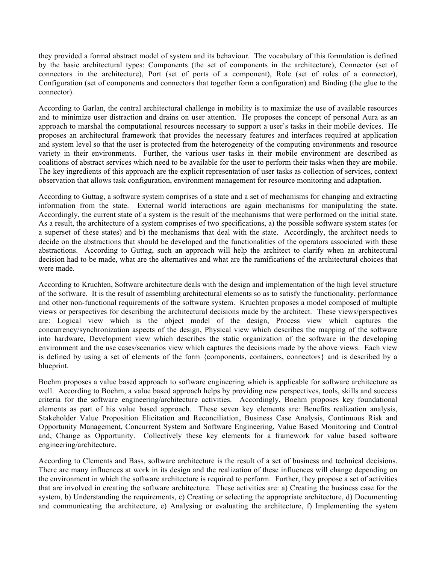they provided a formal abstract model of system and its behaviour. The vocabulary of this formulation is defined by the basic architectural types: Components (the set of components in the architecture), Connector (set of connectors in the architecture), Port (set of ports of a component), Role (set of roles of a connector), Configuration (set of components and connectors that together form a configuration) and Binding (the glue to the connector).

According to Garlan, the central architectural challenge in mobility is to maximize the use of available resources and to minimize user distraction and drains on user attention. He proposes the concept of personal Aura as an approach to marshal the computational resources necessary to support a user's tasks in their mobile devices. He proposes an architectural framework that provides the necessary features and interfaces required at application and system level so that the user is protected from the heterogeneity of the computing environments and resource variety in their environments. Further, the various user tasks in their mobile environment are described as coalitions of abstract services which need to be available for the user to perform their tasks when they are mobile. The key ingredients of this approach are the explicit representation of user tasks as collection of services, context observation that allows task configuration, environment management for resource monitoring and adaptation.

According to Guttag, a software system comprises of a state and a set of mechanisms for changing and extracting information from the state. External world interactions are again mechanisms for manipulating the state. Accordingly, the current state of a system is the result of the mechanisms that were performed on the initial state. As a result, the architecture of a system comprises of two specifications, a) the possible software system states (or a superset of these states) and b) the mechanisms that deal with the state. Accordingly, the architect needs to decide on the abstractions that should be developed and the functionalities of the operators associated with these abstractions. According to Guttag, such an approach will help the architect to clarify when an architectural decision had to be made, what are the alternatives and what are the ramifications of the architectural choices that were made.

According to Kruchten, Software architecture deals with the design and implementation of the high level structure of the software. It is the result of assembling architectural elements so as to satisfy the functionality, performance and other non-functional requirements of the software system. Kruchten proposes a model composed of multiple views or perspectives for describing the architectural decisions made by the architect. These views/perspectives are: Logical view which is the object model of the design, Process view which captures the concurrency/synchronization aspects of the design, Physical view which describes the mapping of the software into hardware, Development view which describes the static organization of the software in the developing environment and the use cases/scenarios view which captures the decisions made by the above views. Each view is defined by using a set of elements of the form {components, containers, connectors} and is described by a blueprint.

Boehm proposes a value based approach to software engineering which is applicable for software architecture as well. According to Boehm, a value based approach helps by providing new perspectives, tools, skills and success criteria for the software engineering/architecture activities. Accordingly, Boehm proposes key foundational elements as part of his value based approach. These seven key elements are: Benefits realization analysis, Stakeholder Value Proposition Elicitation and Reconciliation, Business Case Analysis, Continuous Risk and Opportunity Management, Concurrent System and Software Engineering, Value Based Monitoring and Control and, Change as Opportunity. Collectively these key elements for a framework for value based software engineering/architecture.

According to Clements and Bass, software architecture is the result of a set of business and technical decisions. There are many influences at work in its design and the realization of these influences will change depending on the environment in which the software architecture is required to perform. Further, they propose a set of activities that are involved in creating the software architecture. These activities are: a) Creating the business case for the system, b) Understanding the requirements, c) Creating or selecting the appropriate architecture, d) Documenting and communicating the architecture, e) Analysing or evaluating the architecture, f) Implementing the system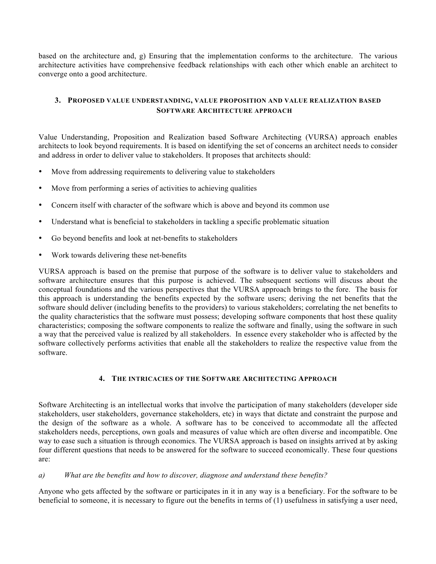based on the architecture and, g) Ensuring that the implementation conforms to the architecture. The various architecture activities have comprehensive feedback relationships with each other which enable an architect to converge onto a good architecture.

## **3. PROPOSED VALUE UNDERSTANDING, VALUE PROPOSITION AND VALUE REALIZATION BASED SOFTWARE ARCHITECTURE APPROACH**

Value Understanding, Proposition and Realization based Software Architecting (VURSA) approach enables architects to look beyond requirements. It is based on identifying the set of concerns an architect needs to consider and address in order to deliver value to stakeholders. It proposes that architects should:

- Move from addressing requirements to delivering value to stakeholders
- Move from performing a series of activities to achieving qualities
- Concern itself with character of the software which is above and beyond its common use
- Understand what is beneficial to stakeholders in tackling a specific problematic situation
- Go beyond benefits and look at net-benefits to stakeholders
- Work towards delivering these net-benefits

VURSA approach is based on the premise that purpose of the software is to deliver value to stakeholders and software architecture ensures that this purpose is achieved. The subsequent sections will discuss about the conceptual foundations and the various perspectives that the VURSA approach brings to the fore. The basis for this approach is understanding the benefits expected by the software users; deriving the net benefits that the software should deliver (including benefits to the providers) to various stakeholders; correlating the net benefits to the quality characteristics that the software must possess; developing software components that host these quality characteristics; composing the software components to realize the software and finally, using the software in such a way that the perceived value is realized by all stakeholders. In essence every stakeholder who is affected by the software collectively performs activities that enable all the stakeholders to realize the respective value from the software.

### **4. THE INTRICACIES OF THE SOFTWARE ARCHITECTING APPROACH**

Software Architecting is an intellectual works that involve the participation of many stakeholders (developer side stakeholders, user stakeholders, governance stakeholders, etc) in ways that dictate and constraint the purpose and the design of the software as a whole. A software has to be conceived to accommodate all the affected stakeholders needs, perceptions, own goals and measures of value which are often diverse and incompatible. One way to ease such a situation is through economics. The VURSA approach is based on insights arrived at by asking four different questions that needs to be answered for the software to succeed economically. These four questions are:

### *a) What are the benefits and how to discover, diagnose and understand these benefits?*

Anyone who gets affected by the software or participates in it in any way is a beneficiary. For the software to be beneficial to someone, it is necessary to figure out the benefits in terms of (1) usefulness in satisfying a user need,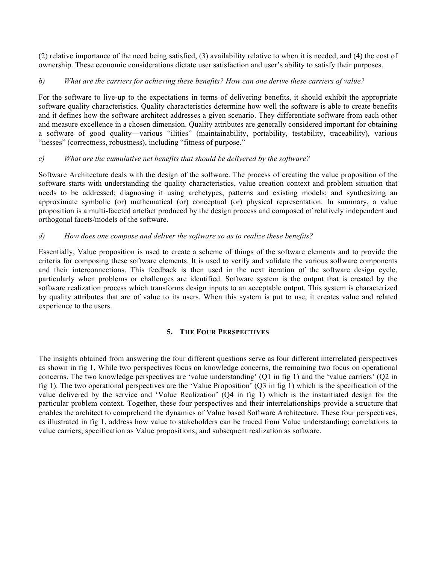(2) relative importance of the need being satisfied, (3) availability relative to when it is needed, and (4) the cost of ownership. These economic considerations dictate user satisfaction and user's ability to satisfy their purposes.

### *b) What are the carriers for achieving these benefits? How can one derive these carriers of value?*

For the software to live-up to the expectations in terms of delivering benefits, it should exhibit the appropriate software quality characteristics. Quality characteristics determine how well the software is able to create benefits and it defines how the software architect addresses a given scenario. They differentiate software from each other and measure excellence in a chosen dimension. Quality attributes are generally considered important for obtaining a software of good quality—various "ilities" (maintainability, portability, testability, traceability), various "nesses" (correctness, robustness), including "fitness of purpose."

### *c) What are the cumulative net benefits that should be delivered by the software?*

Software Architecture deals with the design of the software. The process of creating the value proposition of the software starts with understanding the quality characteristics, value creation context and problem situation that needs to be addressed; diagnosing it using archetypes, patterns and existing models; and synthesizing an approximate symbolic (or) mathematical (or) conceptual (or) physical representation. In summary, a value proposition is a multi-faceted artefact produced by the design process and composed of relatively independent and orthogonal facets/models of the software.

### *d) How does one compose and deliver the software so as to realize these benefits?*

Essentially, Value proposition is used to create a scheme of things of the software elements and to provide the criteria for composing these software elements. It is used to verify and validate the various software components and their interconnections. This feedback is then used in the next iteration of the software design cycle, particularly when problems or challenges are identified. Software system is the output that is created by the software realization process which transforms design inputs to an acceptable output. This system is characterized by quality attributes that are of value to its users. When this system is put to use, it creates value and related experience to the users.

### **5. THE FOUR PERSPECTIVES**

The insights obtained from answering the four different questions serve as four different interrelated perspectives as shown in fig 1. While two perspectives focus on knowledge concerns, the remaining two focus on operational concerns. The two knowledge perspectives are 'value understanding' (Q1 in fig 1) and the 'value carriers' (Q2 in fig 1). The two operational perspectives are the 'Value Proposition' (Q3 in fig 1) which is the specification of the value delivered by the service and 'Value Realization' (Q4 in fig 1) which is the instantiated design for the particular problem context. Together, these four perspectives and their interrelationships provide a structure that enables the architect to comprehend the dynamics of Value based Software Architecture. These four perspectives, as illustrated in fig 1, address how value to stakeholders can be traced from Value understanding; correlations to value carriers; specification as Value propositions; and subsequent realization as software.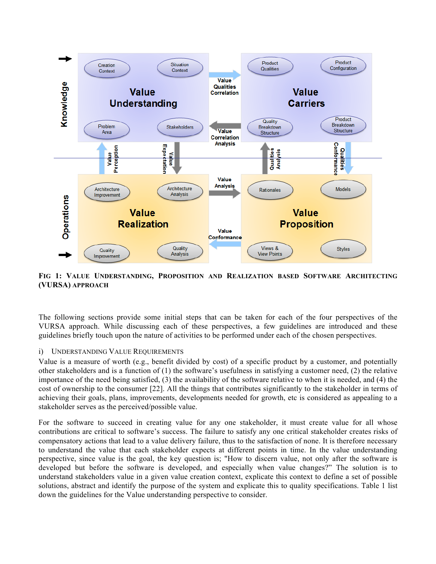

**FIG 1: VALUE UNDERSTANDING, PROPOSITION AND REALIZATION BASED SOFTWARE ARCHITECTING (VURSA) APPROACH**

The following sections provide some initial steps that can be taken for each of the four perspectives of the VURSA approach. While discussing each of these perspectives, a few guidelines are introduced and these guidelines briefly touch upon the nature of activities to be performed under each of the chosen perspectives.

### i) UNDERSTANDING VALUE REQUIREMENTS

Value is a measure of worth (e.g., benefit divided by cost) of a specific product by a customer, and potentially other stakeholders and is a function of (1) the software's usefulness in satisfying a customer need, (2) the relative importance of the need being satisfied, (3) the availability of the software relative to when it is needed, and (4) the cost of ownership to the consumer [22]. All the things that contributes significantly to the stakeholder in terms of achieving their goals, plans, improvements, developments needed for growth, etc is considered as appealing to a stakeholder serves as the perceived/possible value.

For the software to succeed in creating value for any one stakeholder, it must create value for all whose contributions are critical to software's success. The failure to satisfy any one critical stakeholder creates risks of compensatory actions that lead to a value delivery failure, thus to the satisfaction of none. It is therefore necessary to understand the value that each stakeholder expects at different points in time. In the value understanding perspective, since value is the goal, the key question is; "How to discern value, not only after the software is developed but before the software is developed, and especially when value changes?" The solution is to understand stakeholders value in a given value creation context, explicate this context to define a set of possible solutions, abstract and identify the purpose of the system and explicate this to quality specifications. Table 1 list down the guidelines for the Value understanding perspective to consider.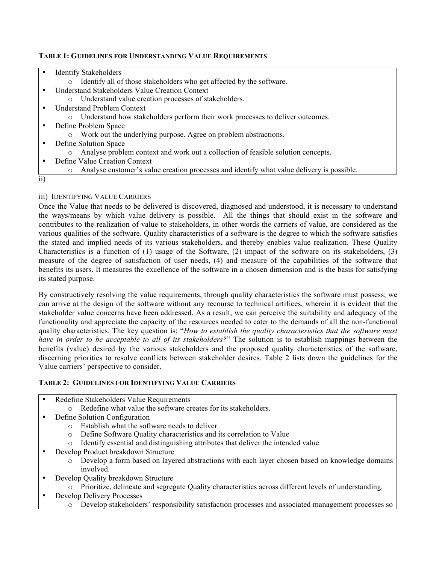### **TABLE 1: GUIDELINES FOR UNDERSTANDING VALUE REQUIREMENTS**

|                 | <b>Identify Stakeholders</b>                                                                         |  |  |  |
|-----------------|------------------------------------------------------------------------------------------------------|--|--|--|
|                 | Identify all of those stakeholders who get affected by the software.<br>$\circ$                      |  |  |  |
|                 | <b>Understand Stakeholders Value Creation Context</b>                                                |  |  |  |
|                 | o Understand value creation processes of stakeholders.                                               |  |  |  |
|                 | <b>Understand Problem Context</b>                                                                    |  |  |  |
|                 | • Understand how stakeholders perform their work processes to deliver outcomes.                      |  |  |  |
|                 | Define Problem Space                                                                                 |  |  |  |
|                 | • Work out the underlying purpose. Agree on problem abstractions.                                    |  |  |  |
|                 | Define Solution Space                                                                                |  |  |  |
|                 | Analyse problem context and work out a collection of feasible solution concepts.<br>$\circ$          |  |  |  |
|                 | Define Value Creation Context                                                                        |  |  |  |
|                 | Analyse customer's value creation processes and identify what value delivery is possible.<br>$\circ$ |  |  |  |
| $\overline{11}$ |                                                                                                      |  |  |  |
|                 |                                                                                                      |  |  |  |

# iii) IDENTIFYING VALUE CARRIERS

Once the Value that needs to be delivered is discovered, diagnosed and understood, it is necessary to understand the ways/means by which value delivery is possible. All the things that should exist in the software and contributes to the realization of value to stakeholders, in other words the carriers of value, are considered as the various qualities of the software. Quality characteristics of a software is the degree to which the software satisfies the stated and implied needs of its various stakeholders, and thereby enables value realization. These Quality Characteristics is a function of (1) usage of the Software, (2) impact of the software on its stakeholders, (3) measure of the degree of satisfaction of user needs, (4) and measure of the capabilities of the software that benefits its users. It measures the excellence of the software in a chosen dimension and is the basis for satisfying its stated purpose.

By constructively resolving the value requirements, through quality characteristics the software must possess; we can arrive at the design of the software without any recourse to technical artifices, wherein it is evident that the stakeholder value concerns have been addressed. As a result, we can perceive the suitability and adequacy of the functionality and appreciate the capacity of the resources needed to cater to the demands of all the non-functional quality characteristics. The key question is; "*How to establish the quality characteristics that the software must have in order to be acceptable to all of its stakeholders?*" The solution is to establish mappings between the benefits (value) desired by the various stakeholders and the proposed quality characteristics of the software, discerning priorities to resolve conflicts between stakeholder desires. Table 2 lists down the guidelines for the Value carriers' perspective to consider.

## **TABLE 2: GUIDELINES FOR IDENTIFYING VALUE CARRIERS**

| Redefine Stakeholders Value Requirements |  |
|------------------------------------------|--|
|------------------------------------------|--|

- o Redefine what value the software creates for its stakeholders.
- Define Solution Configuration
	- o Establish what the software needs to deliver.
	- o Define Software Quality characteristics and its correlation to Value
	- o Identify essential and distinguishing attributes that deliver the intended value
- Develop Product breakdown Structure
	- o Develop a form based on layered abstractions with each layer chosen based on knowledge domains involved.
- Develop Quality breakdown Structure
	- o Prioritize, delineate and segregate Quality characteristics across different levels of understanding.
- Develop Delivery Processes
	- o Develop stakeholders' responsibility satisfaction processes and associated management processes so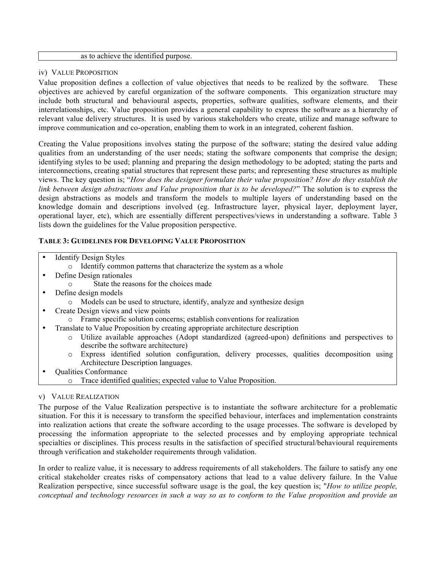#### as to achieve the identified purpose.

#### iv) VALUE PROPOSITION

Value proposition defines a collection of value objectives that needs to be realized by the software. These objectives are achieved by careful organization of the software components. This organization structure may include both structural and behavioural aspects, properties, software qualities, software elements, and their interrelationships, etc. Value proposition provides a general capability to express the software as a hierarchy of relevant value delivery structures. It is used by various stakeholders who create, utilize and manage software to improve communication and co-operation, enabling them to work in an integrated, coherent fashion.

Creating the Value propositions involves stating the purpose of the software; stating the desired value adding qualities from an understanding of the user needs; stating the software components that comprise the design; identifying styles to be used; planning and preparing the design methodology to be adopted; stating the parts and interconnections, creating spatial structures that represent these parts; and representing these structures as multiple views. The key question is; "*How does the designer formulate their value proposition? How do they establish the link between design abstractions and Value proposition that is to be developed?*" The solution is to express the design abstractions as models and transform the models to multiple layers of understanding based on the knowledge domain and descriptions involved (eg. Infrastructure layer, physical layer, deployment layer, operational layer, etc), which are essentially different perspectives/views in understanding a software. Table 3 lists down the guidelines for the Value proposition perspective.

### **TABLE 3: GUIDELINES FOR DEVELOPING VALUE PROPOSITION**

- **Identify Design Styles** 
	- o Identify common patterns that characterize the system as a whole
- Define Design rationales
	- State the reasons for the choices made
- Define design models
	- o Models can be used to structure, identify, analyze and synthesize design
- Create Design views and view points
	- o Frame specific solution concerns; establish conventions for realization
- Translate to Value Proposition by creating appropriate architecture description
	- o Utilize available approaches (Adopt standardized (agreed-upon) definitions and perspectives to describe the software architecture)
	- o Express identified solution configuration, delivery processes, qualities decomposition using Architecture Description languages.
- Qualities Conformance
	- o Trace identified qualities; expected value to Value Proposition.

### v) VALUE REALIZATION

The purpose of the Value Realization perspective is to instantiate the software architecture for a problematic situation. For this it is necessary to transform the specified behaviour, interfaces and implementation constraints into realization actions that create the software according to the usage processes. The software is developed by processing the information appropriate to the selected processes and by employing appropriate technical specialties or disciplines. This process results in the satisfaction of specified structural/behavioural requirements through verification and stakeholder requirements through validation.

In order to realize value, it is necessary to address requirements of all stakeholders. The failure to satisfy any one critical stakeholder creates risks of compensatory actions that lead to a value delivery failure. In the Value Realization perspective, since successful software usage is the goal, the key question is; "*How to utilize people, conceptual and technology resources in such a way so as to conform to the Value proposition and provide an*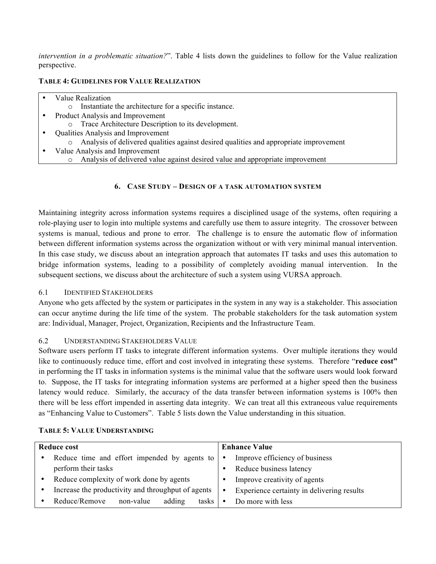*intervention in a problematic situation?*". Table 4 lists down the guidelines to follow for the Value realization perspective.

### **TABLE 4: GUIDELINES FOR VALUE REALIZATION**

| Value Realization                                                                        |
|------------------------------------------------------------------------------------------|
| Instantiate the architecture for a specific instance.<br>$\circ$                         |
| Product Analysis and Improvement                                                         |
| Trace Architecture Description to its development.<br>$\circ$                            |
| Qualities Analysis and Improvement                                                       |
| Analysis of delivered qualities against desired qualities and appropriate improvement    |
| Value Analysis and Improvement                                                           |
| Analysis of delivered value against desired value and appropriate improvement<br>$\circ$ |
|                                                                                          |

# **6. CASE STUDY – DESIGN OF A TASK AUTOMATION SYSTEM**

Maintaining integrity across information systems requires a disciplined usage of the systems, often requiring a role-playing user to login into multiple systems and carefully use them to assure integrity. The crossover between systems is manual, tedious and prone to error. The challenge is to ensure the automatic flow of information between different information systems across the organization without or with very minimal manual intervention. In this case study, we discuss about an integration approach that automates IT tasks and uses this automation to bridge information systems, leading to a possibility of completely avoiding manual intervention. In the subsequent sections, we discuss about the architecture of such a system using VURSA approach.

## 6.1 IDENTIFIED STAKEHOLDERS

Anyone who gets affected by the system or participates in the system in any way is a stakeholder. This association can occur anytime during the life time of the system. The probable stakeholders for the task automation system are: Individual, Manager, Project, Organization, Recipients and the Infrastructure Team.

## 6.2 UNDERSTANDING STAKEHOLDERS VALUE

Software users perform IT tasks to integrate different information systems. Over multiple iterations they would like to continuously reduce time, effort and cost involved in integrating these systems. Therefore "**reduce cost"** in performing the IT tasks in information systems is the minimal value that the software users would look forward to. Suppose, the IT tasks for integrating information systems are performed at a higher speed then the business latency would reduce. Similarly, the accuracy of the data transfer between information systems is 100% then there will be less effort impended in asserting data integrity. We can treat all this extraneous value requirements as "Enhancing Value to Customers". Table 5 lists down the Value understanding in this situation.

| <b>Reduce cost</b> |                                                      | <b>Enhance Value</b> |                                            |  |
|--------------------|------------------------------------------------------|----------------------|--------------------------------------------|--|
|                    |                                                      |                      |                                            |  |
|                    | Reduce time and effort impended by agents to $\cdot$ |                      | Improve efficiency of business             |  |
|                    | perform their tasks                                  | ٠                    | Reduce business latency                    |  |
|                    | Reduce complexity of work done by agents             |                      | Improve creativity of agents               |  |
|                    | Increase the productivity and throughput of agents   |                      | Experience certainty in delivering results |  |
|                    | non-value<br>adding<br>Reduce/Remove<br>tasks        | ٠                    | Do more with less                          |  |

### **TABLE 5: VALUE UNDERSTANDING**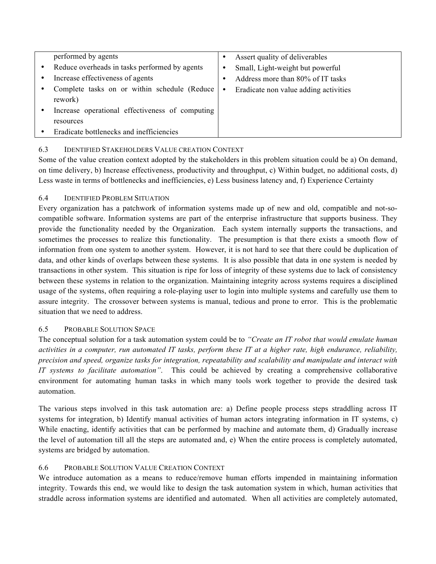| performed by agents                             |   | Assert quality of deliverables        |
|-------------------------------------------------|---|---------------------------------------|
| Reduce overheads in tasks performed by agents   | ٠ | Small, Light-weight but powerful      |
| Increase effectiveness of agents                | ٠ | Address more than 80% of IT tasks     |
| Complete tasks on or within schedule (Reduce)   | ٠ | Eradicate non value adding activities |
| rework)                                         |   |                                       |
| Increase operational effectiveness of computing |   |                                       |
| resources                                       |   |                                       |
| Eradicate bottlenecks and inefficiencies        |   |                                       |

## 6.3 IDENTIFIED STAKEHOLDERS VALUE CREATION CONTEXT

Some of the value creation context adopted by the stakeholders in this problem situation could be a) On demand, on time delivery, b) Increase effectiveness, productivity and throughput, c) Within budget, no additional costs, d) Less waste in terms of bottlenecks and inefficiencies, e) Less business latency and, f) Experience Certainty

## 6.4 IDENTIFIED PROBLEM SITUATION

Every organization has a patchwork of information systems made up of new and old, compatible and not-socompatible software. Information systems are part of the enterprise infrastructure that supports business. They provide the functionality needed by the Organization. Each system internally supports the transactions, and sometimes the processes to realize this functionality. The presumption is that there exists a smooth flow of information from one system to another system. However, it is not hard to see that there could be duplication of data, and other kinds of overlaps between these systems. It is also possible that data in one system is needed by transactions in other system. This situation is ripe for loss of integrity of these systems due to lack of consistency between these systems in relation to the organization. Maintaining integrity across systems requires a disciplined usage of the systems, often requiring a role-playing user to login into multiple systems and carefully use them to assure integrity. The crossover between systems is manual, tedious and prone to error. This is the problematic situation that we need to address.

## 6.5 PROBABLE SOLUTION SPACE

The conceptual solution for a task automation system could be to *"Create an IT robot that would emulate human activities in a computer, run automated IT tasks, perform these IT at a higher rate, high endurance, reliability, precision and speed, organize tasks for integration, repeatability and scalability and manipulate and interact with IT systems to facilitate automation"*. This could be achieved by creating a comprehensive collaborative environment for automating human tasks in which many tools work together to provide the desired task automation.

The various steps involved in this task automation are: a) Define people process steps straddling across IT systems for integration, b) Identify manual activities of human actors integrating information in IT systems, c) While enacting, identify activities that can be performed by machine and automate them, d) Gradually increase the level of automation till all the steps are automated and, e) When the entire process is completely automated, systems are bridged by automation.

## 6.6 PROBABLE SOLUTION VALUE CREATION CONTEXT

We introduce automation as a means to reduce/remove human efforts impended in maintaining information integrity. Towards this end, we would like to design the task automation system in which, human activities that straddle across information systems are identified and automated. When all activities are completely automated,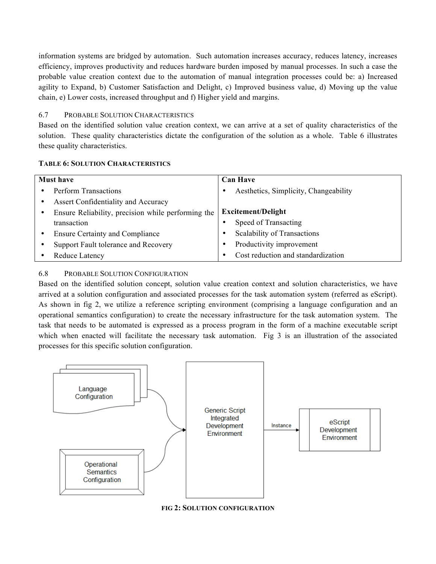information systems are bridged by automation. Such automation increases accuracy, reduces latency, increases efficiency, improves productivity and reduces hardware burden imposed by manual processes. In such a case the probable value creation context due to the automation of manual integration processes could be: a) Increased agility to Expand, b) Customer Satisfaction and Delight, c) Improved business value, d) Moving up the value chain, e) Lower costs, increased throughput and f) Higher yield and margins.

### 6.7 PROBABLE SOLUTION CHARACTERISTICS

Based on the identified solution value creation context, we can arrive at a set of quality characteristics of the solution. These quality characteristics dictate the configuration of the solution as a whole. Table 6 illustrates these quality characteristics.

#### **TABLE 6: SOLUTION CHARACTERISTICS**

| <b>Must have</b> |                                                    | <b>Can Have</b> |                                       |  |
|------------------|----------------------------------------------------|-----------------|---------------------------------------|--|
|                  | Perform Transactions                               |                 | Aesthetics, Simplicity, Changeability |  |
| $\bullet$        | <b>Assert Confidentiality and Accuracy</b>         |                 |                                       |  |
|                  | Ensure Reliability, precision while performing the |                 | <b>Excitement/Delight</b>             |  |
|                  | transaction                                        |                 | Speed of Transacting                  |  |
|                  | <b>Ensure Certainty and Compliance</b>             |                 | Scalability of Transactions           |  |
|                  | Support Fault tolerance and Recovery               |                 | Productivity improvement              |  |
|                  | Reduce Latency                                     |                 | Cost reduction and standardization    |  |

### 6.8 PROBABLE SOLUTION CONFIGURATION

Based on the identified solution concept, solution value creation context and solution characteristics, we have arrived at a solution configuration and associated processes for the task automation system (referred as eScript). As shown in fig 2, we utilize a reference scripting environment (comprising a language configuration and an operational semantics configuration) to create the necessary infrastructure for the task automation system. The task that needs to be automated is expressed as a process program in the form of a machine executable script which when enacted will facilitate the necessary task automation. Fig 3 is an illustration of the associated processes for this specific solution configuration.



**FIG 2: SOLUTION CONFIGURATION**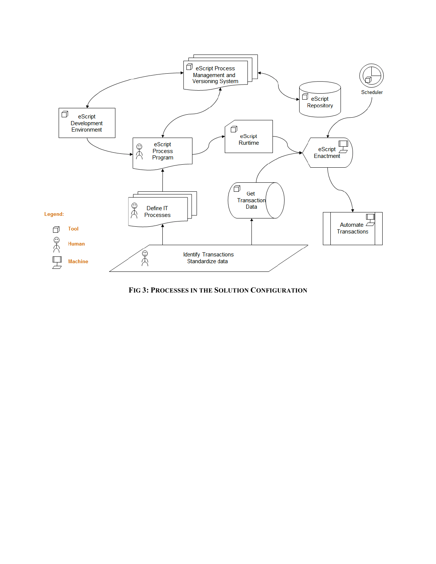

**FIG 3: PROCESSES IN THE SOLUTION CONFIGURATION**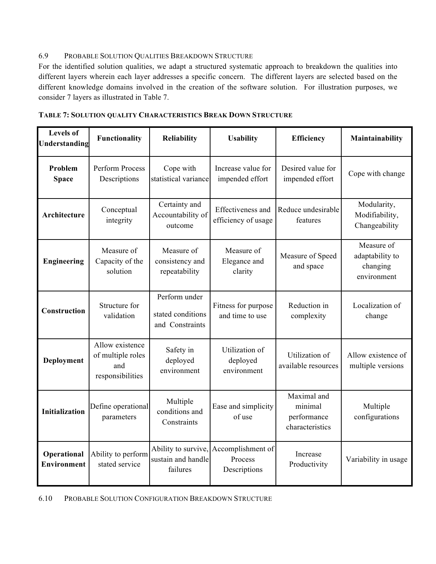# 6.9 PROBABLE SOLUTION QUALITIES BREAKDOWN STRUCTURE

For the identified solution qualities, we adapt a structured systematic approach to breakdown the qualities into different layers wherein each layer addresses a specific concern. The different layers are selected based on the different knowledge domains involved in the creation of the software solution. For illustration purposes, we consider 7 layers as illustrated in Table 7.

| <b>Levels of</b><br>Understanding | Functionality<br><b>Reliability</b>                             |                                                       | <b>Usability</b>                                                 | <b>Efficiency</b>                                        | Maintainability                                          |
|-----------------------------------|-----------------------------------------------------------------|-------------------------------------------------------|------------------------------------------------------------------|----------------------------------------------------------|----------------------------------------------------------|
| Problem<br><b>Space</b>           | Perform Process<br>Descriptions                                 | Cope with<br>statistical variance                     | Increase value for<br>impended effort                            | Desired value for<br>impended effort                     | Cope with change                                         |
| Architecture                      | Conceptual<br>integrity                                         | Certainty and<br>Accountability of<br>outcome         | Effectiveness and<br>efficiency of usage                         | Reduce undesirable<br>features                           | Modularity,<br>Modifiability,<br>Changeability           |
| <b>Engineering</b>                | Measure of<br>Capacity of the<br>solution                       | Measure of<br>consistency and<br>repeatability        | Measure of<br>Elegance and<br>clarity                            | Measure of Speed<br>and space                            | Measure of<br>adaptability to<br>changing<br>environment |
| Construction                      | Structure for<br>validation                                     | Perform under<br>stated conditions<br>and Constraints | Fitness for purpose<br>and time to use                           | Reduction in<br>complexity                               | Localization of<br>change                                |
| Deployment                        | Allow existence<br>of multiple roles<br>and<br>responsibilities | Safety in<br>deployed<br>environment                  | Utilization of<br>deployed<br>environment                        | Utilization of<br>available resources                    | Allow existence of<br>multiple versions                  |
| <b>Initialization</b>             | Define operational<br>parameters                                | Multiple<br>conditions and<br>Constraints             | Ease and simplicity<br>of use                                    | Maximal and<br>minimal<br>performance<br>characteristics | Multiple<br>configurations                               |
| Operational<br><b>Environment</b> | Ability to perform<br>stated service                            | sustain and handle<br>failures                        | Ability to survive, Accomplishment of<br>Process<br>Descriptions | Increase<br>Productivity                                 | Variability in usage                                     |

6.10 PROBABLE SOLUTION CONFIGURATION BREAKDOWN STRUCTURE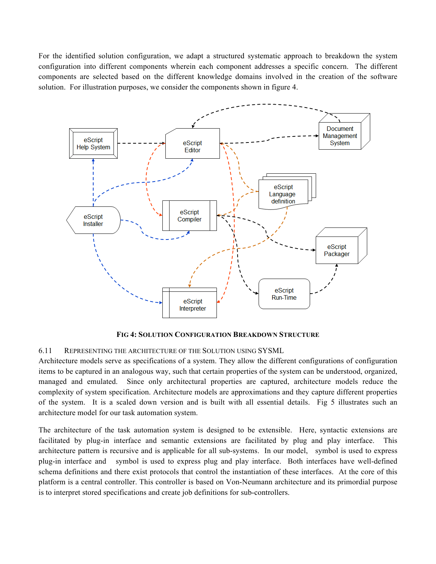For the identified solution configuration, we adapt a structured systematic approach to breakdown the system configuration into different components wherein each component addresses a specific concern. The different components are selected based on the different knowledge domains involved in the creation of the software solution. For illustration purposes, we consider the components shown in figure 4.



**FIG 4: SOLUTION CONFIGURATION BREAKDOWN STRUCTURE**

6.11 REPRESENTING THE ARCHITECTURE OF THE SOLUTION USING SYSML

Architecture models serve as specifications of a system. They allow the different configurations of configuration items to be captured in an analogous way, such that certain properties of the system can be understood, organized, managed and emulated. Since only architectural properties are captured, architecture models reduce the complexity of system specification. Architecture models are approximations and they capture different properties of the system. It is a scaled down version and is built with all essential details. Fig 5 illustrates such an architecture model for our task automation system.

The architecture of the task automation system is designed to be extensible. Here, syntactic extensions are facilitated by plug-in interface and semantic extensions are facilitated by plug and play interface. This architecture pattern is recursive and is applicable for all sub-systems. In our model, symbol is used to express plug-in interface and symbol is used to express plug and play interface. Both interfaces have well-defined schema definitions and there exist protocols that control the instantiation of these interfaces. At the core of this platform is a central controller. This controller is based on Von-Neumann architecture and its primordial purpose is to interpret stored specifications and create job definitions for sub-controllers.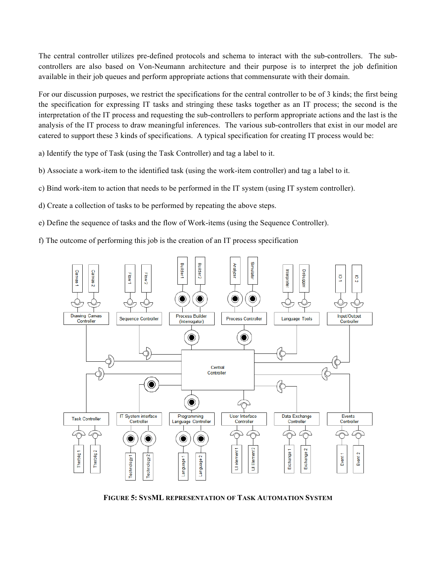The central controller utilizes pre-defined protocols and schema to interact with the sub-controllers. The subcontrollers are also based on Von-Neumann architecture and their purpose is to interpret the job definition available in their job queues and perform appropriate actions that commensurate with their domain.

For our discussion purposes, we restrict the specifications for the central controller to be of 3 kinds; the first being the specification for expressing IT tasks and stringing these tasks together as an IT process; the second is the interpretation of the IT process and requesting the sub-controllers to perform appropriate actions and the last is the analysis of the IT process to draw meaningful inferences. The various sub-controllers that exist in our model are catered to support these 3 kinds of specifications. A typical specification for creating IT process would be:

a) Identify the type of Task (using the Task Controller) and tag a label to it.

- b) Associate a work-item to the identified task (using the work-item controller) and tag a label to it.
- c) Bind work-item to action that needs to be performed in the IT system (using IT system controller).
- d) Create a collection of tasks to be performed by repeating the above steps.
- e) Define the sequence of tasks and the flow of Work-items (using the Sequence Controller).

f) The outcome of performing this job is the creation of an IT process specification



**FIGURE 5: SYSML REPRESENTATION OF TASK AUTOMATION SYSTEM**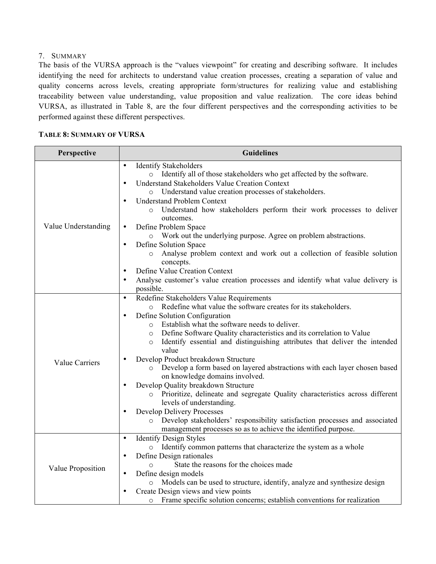### 7. SUMMARY

The basis of the VURSA approach is the "values viewpoint" for creating and describing software. It includes identifying the need for architects to understand value creation processes, creating a separation of value and quality concerns across levels, creating appropriate form/structures for realizing value and establishing traceability between value understanding, value proposition and value realization. The core ideas behind VURSA, as illustrated in Table 8, are the four different perspectives and the corresponding activities to be performed against these different perspectives.

### **TABLE 8: SUMMARY OF VURSA**

| Perspective           | <b>Guidelines</b>                                                                                                                                                                                                                                                                                                                                                                                                                                                                                                                                                                                                                                                                                                                                                                                                                                                                                                                                            |  |  |
|-----------------------|--------------------------------------------------------------------------------------------------------------------------------------------------------------------------------------------------------------------------------------------------------------------------------------------------------------------------------------------------------------------------------------------------------------------------------------------------------------------------------------------------------------------------------------------------------------------------------------------------------------------------------------------------------------------------------------------------------------------------------------------------------------------------------------------------------------------------------------------------------------------------------------------------------------------------------------------------------------|--|--|
|                       | <b>Identify Stakeholders</b><br>$\bullet$<br>o Identify all of those stakeholders who get affected by the software.<br><b>Understand Stakeholders Value Creation Context</b><br>$\bullet$<br>o Understand value creation processes of stakeholders.<br><b>Understand Problem Context</b><br>$\bullet$<br>Understand how stakeholders perform their work processes to deliver<br>$\circ$<br>outcomes.                                                                                                                                                                                                                                                                                                                                                                                                                                                                                                                                                         |  |  |
| Value Understanding   | Define Problem Space<br>$\bullet$<br>o Work out the underlying purpose. Agree on problem abstractions.<br>Define Solution Space<br>$\bullet$<br>Analyse problem context and work out a collection of feasible solution<br>$\circ$<br>concepts.<br>Define Value Creation Context<br>Analyse customer's value creation processes and identify what value delivery is<br>possible.                                                                                                                                                                                                                                                                                                                                                                                                                                                                                                                                                                              |  |  |
| <b>Value Carriers</b> | Redefine Stakeholders Value Requirements<br>$\bullet$<br>o Redefine what value the software creates for its stakeholders.<br>Define Solution Configuration<br>$\bullet$<br>Establish what the software needs to deliver.<br>$\circ$<br>Define Software Quality characteristics and its correlation to Value<br>$\circ$<br>Identify essential and distinguishing attributes that deliver the intended<br>$\circ$<br>value<br>Develop Product breakdown Structure<br>Develop a form based on layered abstractions with each layer chosen based<br>$\circ$<br>on knowledge domains involved.<br>Develop Quality breakdown Structure<br>Prioritize, delineate and segregate Quality characteristics across different<br>$\circ$<br>levels of understanding.<br>Develop Delivery Processes<br>$\bullet$<br>Develop stakeholders' responsibility satisfaction processes and associated<br>$\circ$<br>management processes so as to achieve the identified purpose. |  |  |
| Value Proposition     | <b>Identify Design Styles</b><br>$\bullet$<br>o Identify common patterns that characterize the system as a whole<br>Define Design rationales<br>$\bullet$<br>State the reasons for the choices made<br>$\circ$<br>Define design models<br>$\bullet$<br>Models can be used to structure, identify, analyze and synthesize design<br>$\circ$<br>Create Design views and view points<br>Frame specific solution concerns; establish conventions for realization<br>$\circ$                                                                                                                                                                                                                                                                                                                                                                                                                                                                                      |  |  |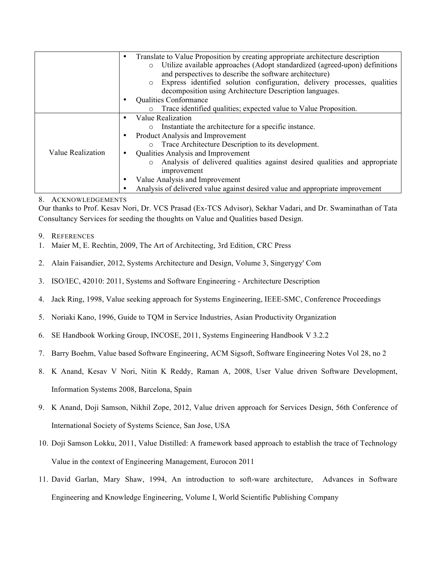|                   | Translate to Value Proposition by creating appropriate architecture description<br>٠  |
|-------------------|---------------------------------------------------------------------------------------|
|                   | Utilize available approaches (Adopt standardized (agreed-upon) definitions<br>$\circ$ |
|                   | and perspectives to describe the software architecture)                               |
|                   | Express identified solution configuration, delivery processes, qualities<br>$\circ$   |
|                   | decomposition using Architecture Description languages.                               |
|                   | <b>Qualities Conformance</b>                                                          |
|                   | Trace identified qualities; expected value to Value Proposition.<br>$\circ$           |
|                   | Value Realization<br>$\bullet$                                                        |
|                   | o Instantiate the architecture for a specific instance.                               |
|                   | Product Analysis and Improvement                                                      |
|                   | o Trace Architecture Description to its development.                                  |
| Value Realization | Qualities Analysis and Improvement                                                    |
|                   | Analysis of delivered qualities against desired qualities and appropriate<br>$\circ$  |
|                   | improvement                                                                           |
|                   | Value Analysis and Improvement<br>٠                                                   |
|                   | Analysis of delivered value against desired value and appropriate improvement         |

### 8. ACKNOWLEDGEMENTS

Our thanks to Prof. Kesav Nori, Dr. VCS Prasad (Ex-TCS Advisor), Sekhar Vadari, and Dr. Swaminathan of Tata Consultancy Services for seeding the thoughts on Value and Qualities based Design.

- 9. REFERENCES
- 1. Maier M, E. Rechtin, 2009, The Art of Architecting, 3rd Edition, CRC Press
- 2. Alain Faisandier, 2012, Systems Architecture and Design, Volume 3, Singerygy' Com
- 3. ISO/IEC, 42010: 2011, Systems and Software Engineering Architecture Description
- 4. Jack Ring, 1998, Value seeking approach for Systems Engineering, IEEE-SMC, Conference Proceedings
- 5. Noriaki Kano, 1996, Guide to TQM in Service Industries, Asian Productivity Organization
- 6. SE Handbook Working Group, INCOSE, 2011, Systems Engineering Handbook V 3.2.2
- 7. Barry Boehm, Value based Software Engineering, ACM Sigsoft, Software Engineering Notes Vol 28, no 2
- 8. K Anand, Kesav V Nori, Nitin K Reddy, Raman A, 2008, User Value driven Software Development, Information Systems 2008, Barcelona, Spain
- 9. K Anand, Doji Samson, Nikhil Zope, 2012, Value driven approach for Services Design, 56th Conference of International Society of Systems Science, San Jose, USA
- 10. Doji Samson Lokku, 2011, Value Distilled: A framework based approach to establish the trace of Technology Value in the context of Engineering Management, Eurocon 2011
- 11. David Garlan, Mary Shaw, 1994, An introduction to soft-ware architecture, Advances in Software Engineering and Knowledge Engineering, Volume I, World Scientific Publishing Company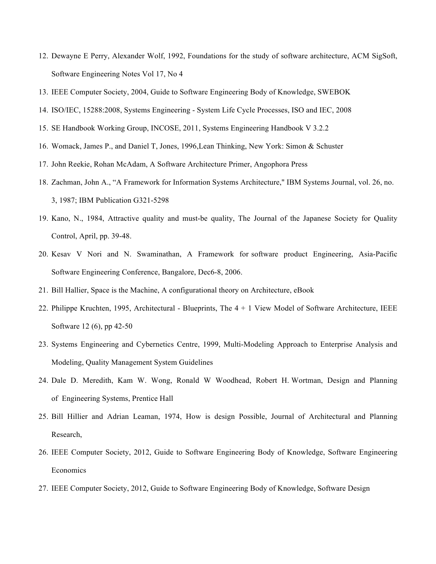- 12. Dewayne E Perry, Alexander Wolf, 1992, Foundations for the study of software architecture, ACM SigSoft, Software Engineering Notes Vol 17, No 4
- 13. IEEE Computer Society, 2004, Guide to Software Engineering Body of Knowledge, SWEBOK
- 14. ISO/IEC, 15288:2008, Systems Engineering System Life Cycle Processes, ISO and IEC, 2008
- 15. SE Handbook Working Group, INCOSE, 2011, Systems Engineering Handbook V 3.2.2
- 16. Womack, James P., and Daniel T, Jones, 1996,Lean Thinking, New York: Simon & Schuster
- 17. John Reekie, Rohan McAdam, A Software Architecture Primer, Angophora Press
- 18. Zachman, John A., "A Framework for Information Systems Architecture," IBM Systems Journal, vol. 26, no. 3, 1987; IBM Publication G321-5298
- 19. Kano, N., 1984, Attractive quality and must-be quality, The Journal of the Japanese Society for Quality Control, April, pp. 39-48.
- 20. Kesav V Nori and N. Swaminathan, A Framework for software product Engineering, Asia-Pacific Software Engineering Conference, Bangalore, Dec6-8, 2006.
- 21. Bill Hallier, Space is the Machine, A configurational theory on Architecture, eBook
- 22. Philippe Kruchten, 1995, Architectural Blueprints, The 4 + 1 View Model of Software Architecture, IEEE Software 12 (6), pp 42-50
- 23. Systems Engineering and Cybernetics Centre, 1999, Multi-Modeling Approach to Enterprise Analysis and Modeling, Quality Management System Guidelines
- 24. Dale D. Meredith, Kam W. Wong, Ronald W Woodhead, Robert H. Wortman, Design and Planning of Engineering Systems, Prentice Hall
- 25. Bill Hillier and Adrian Leaman, 1974, How is design Possible, Journal of Architectural and Planning Research,
- 26. IEEE Computer Society, 2012, Guide to Software Engineering Body of Knowledge, Software Engineering Economics
- 27. IEEE Computer Society, 2012, Guide to Software Engineering Body of Knowledge, Software Design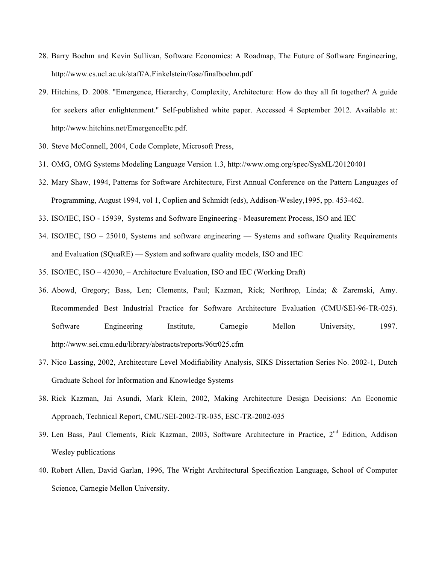- 28. Barry Boehm and Kevin Sullivan, Software Economics: A Roadmap, The Future of Software Engineering, http://www.cs.ucl.ac.uk/staff/A.Finkelstein/fose/finalboehm.pdf
- 29. Hitchins, D. 2008. "Emergence, Hierarchy, Complexity, Architecture: How do they all fit together? A guide for seekers after enlightenment." Self-published white paper. Accessed 4 September 2012. Available at: http://www.hitchins.net/EmergenceEtc.pdf.
- 30. Steve McConnell, 2004, Code Complete, Microsoft Press,
- 31. OMG, OMG Systems Modeling Language Version 1.3, http://www.omg.org/spec/SysML/20120401
- 32. Mary Shaw, 1994, Patterns for Software Architecture, First Annual Conference on the Pattern Languages of Programming, August 1994, vol 1, Coplien and Schmidt (eds), Addison-Wesley,1995, pp. 453-462.
- 33. ISO/IEC, ISO 15939, Systems and Software Engineering Measurement Process, ISO and IEC
- 34. ISO/IEC, ISO 25010, Systems and software engineering Systems and software Quality Requirements and Evaluation (SQuaRE) — System and software quality models, ISO and IEC
- 35. ISO/IEC, ISO 42030, Architecture Evaluation, ISO and IEC (Working Draft)
- 36. Abowd, Gregory; Bass, Len; Clements, Paul; Kazman, Rick; Northrop, Linda; & Zaremski, Amy. Recommended Best Industrial Practice for Software Architecture Evaluation (CMU/SEI-96-TR-025). Software Engineering Institute, Carnegie Mellon University, 1997. http://www.sei.cmu.edu/library/abstracts/reports/96tr025.cfm
- 37. Nico Lassing, 2002, Architecture Level Modifiability Analysis, SIKS Dissertation Series No. 2002-1, Dutch Graduate School for Information and Knowledge Systems
- 38. Rick Kazman, Jai Asundi, Mark Klein, 2002, Making Architecture Design Decisions: An Economic Approach, Technical Report, CMU/SEI-2002-TR-035, ESC-TR-2002-035
- 39. Len Bass, Paul Clements, Rick Kazman, 2003, Software Architecture in Practice, 2nd Edition, Addison Wesley publications
- 40. Robert Allen, David Garlan, 1996, The Wright Architectural Specification Language, School of Computer Science, Carnegie Mellon University.